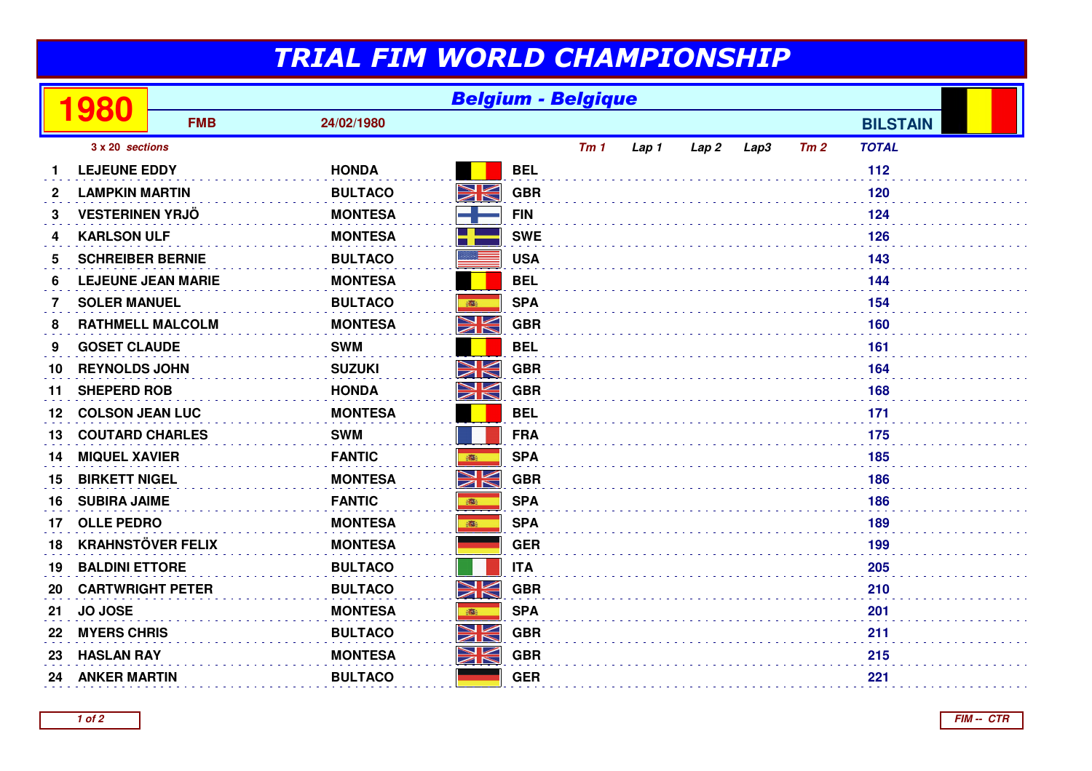## TRIAL FIM WORLD CHAMPIONSHIP

|    | 980                       | <b>Belgium - Belgique</b> |                |           |            |                 |       |                  |      |     |                 |  |
|----|---------------------------|---------------------------|----------------|-----------|------------|-----------------|-------|------------------|------|-----|-----------------|--|
|    |                           | <b>FMB</b>                | 24/02/1980     |           |            |                 |       |                  |      |     | <b>BILSTAIN</b> |  |
|    | 3 x 20 sections           |                           |                |           |            | Tm <sub>1</sub> | Lap 1 | Lap <sub>2</sub> | Lap3 | Tm2 | <b>TOTAL</b>    |  |
|    | <b>LEJEUNE EDDY</b>       |                           | <b>HONDA</b>   |           | <b>BEL</b> |                 |       |                  |      |     | 112             |  |
| 2  | <b>LAMPKIN MARTIN</b>     |                           | <b>BULTACO</b> | NK<br>ZN  | <b>GBR</b> |                 |       |                  |      |     | 120             |  |
| 3  | <b>VESTERINEN YRJÖ</b>    |                           | <b>MONTESA</b> |           | <b>FIN</b> |                 |       |                  |      |     | 124             |  |
| 4  | <b>KARLSON ULF</b>        |                           | <b>MONTESA</b> |           | <b>SWE</b> |                 |       |                  |      |     | 126             |  |
| 5  | <b>SCHREIBER BERNIE</b>   |                           | <b>BULTACO</b> |           | <b>USA</b> |                 |       |                  |      |     | 143             |  |
| 6  | <b>LEJEUNE JEAN MARIE</b> |                           | <b>MONTESA</b> |           | <b>BEL</b> |                 |       |                  |      |     | 144             |  |
| 7  | <b>SOLER MANUEL</b>       |                           | <b>BULTACO</b> | 瓣         | <b>SPA</b> |                 |       |                  |      |     | 154             |  |
| 8  | <b>RATHMELL MALCOLM</b>   |                           | <b>MONTESA</b> | NK<br>Ak  | <b>GBR</b> |                 |       |                  |      |     | 160             |  |
| 9  | <b>GOSET CLAUDE</b>       |                           | <b>SWM</b>     |           | <b>BEL</b> |                 |       |                  |      |     | 161             |  |
| 10 | <b>REYNOLDS JOHN</b>      |                           | <b>SUZUKI</b>  | NK        | <b>GBR</b> |                 |       |                  |      |     | 164             |  |
| 11 | <b>SHEPERD ROB</b>        |                           | <b>HONDA</b>   | N<br>ZK   | <b>GBR</b> |                 |       |                  |      |     | 168             |  |
| 12 | <b>COLSON JEAN LUC</b>    |                           | <b>MONTESA</b> |           | <b>BEL</b> |                 |       |                  |      |     | 171             |  |
| 13 | <b>COUTARD CHARLES</b>    |                           | <b>SWM</b>     |           | <b>FRA</b> |                 |       |                  |      |     | 175             |  |
| 14 | <b>MIQUEL XAVIER</b>      |                           | <b>FANTIC</b>  |           | <b>SPA</b> |                 |       |                  |      |     | 185             |  |
| 15 | <b>BIRKETT NIGEL</b>      |                           | <b>MONTESA</b> | NK<br>ZK  | <b>GBR</b> |                 |       |                  |      |     | 186             |  |
| 16 | <b>SUBIRA JAIME</b>       |                           | <b>FANTIC</b>  | 高         | <b>SPA</b> |                 |       |                  |      |     | 186             |  |
| 17 | <b>OLLE PEDRO</b>         |                           | <b>MONTESA</b> | 高         | <b>SPA</b> |                 |       |                  |      |     | 189             |  |
| 18 | <b>KRAHNSTÖVER FELIX</b>  |                           | <b>MONTESA</b> |           | <b>GER</b> |                 |       |                  |      |     | 199             |  |
| 19 | <b>BALDINI ETTORE</b>     |                           | <b>BULTACO</b> |           | <b>ITA</b> |                 |       |                  |      |     | 205             |  |
| 20 | <b>CARTWRIGHT PETER</b>   |                           | <b>BULTACO</b> | <u>NK</u> | <b>GBR</b> |                 |       |                  |      |     | 210             |  |
| 21 | JO JOSE                   |                           | <b>MONTESA</b> | ●         | <b>SPA</b> |                 |       |                  |      |     | 201             |  |
| 22 | <b>MYERS CHRIS</b>        |                           | <b>BULTACO</b> | Ж         | <b>GBR</b> |                 |       |                  |      |     | 211             |  |
| 23 | <b>HASLAN RAY</b>         |                           | <b>MONTESA</b> | NK<br>ZK  | <b>GBR</b> |                 |       |                  |      |     | 215             |  |
| 24 | <b>ANKER MARTIN</b>       |                           | <b>BULTACO</b> |           | <b>GER</b> |                 |       |                  |      |     | 221             |  |